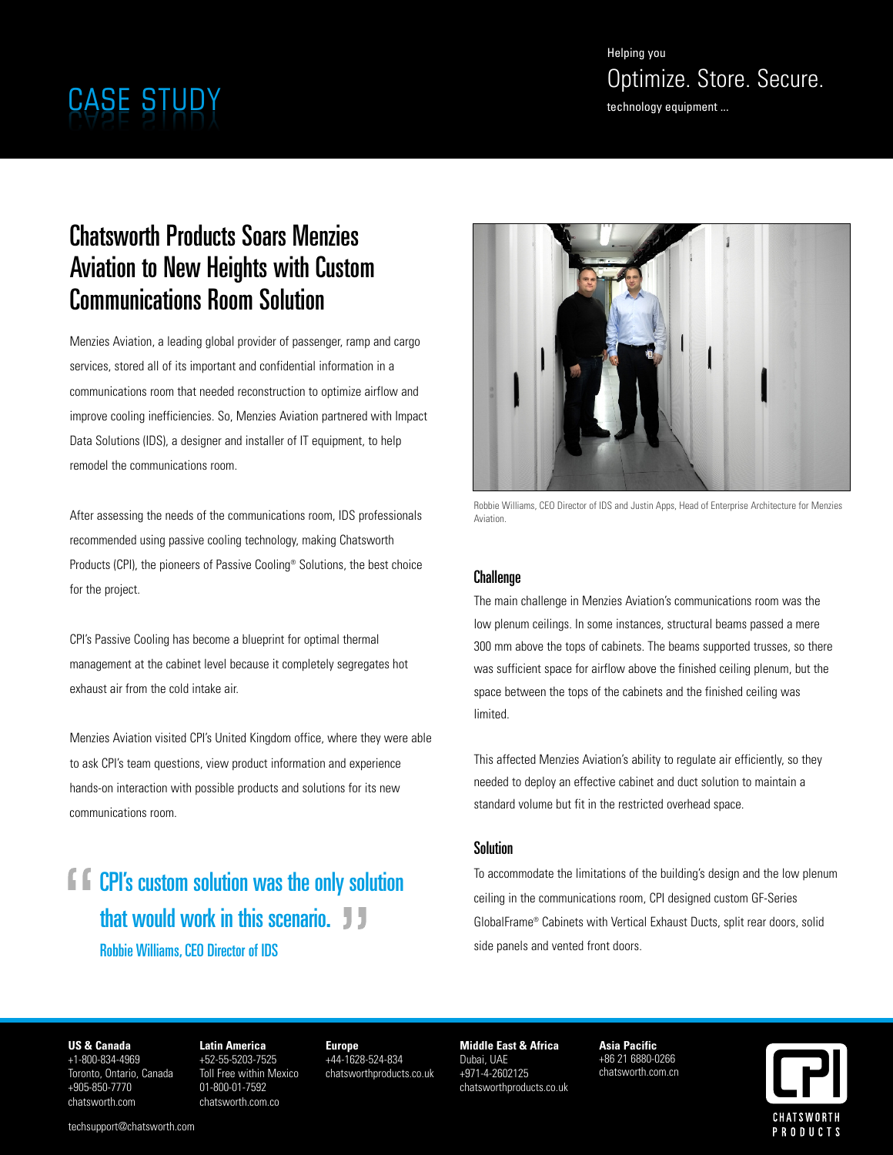Helping you Optimize. Store. Secure.<br>
CASE STUDY technology equipment ...

# Chatsworth Products Soars Menzies Aviation to New Heights with Custom Communications Room Solution

Menzies Aviation, a leading global provider of passenger, ramp and cargo services, stored all of its important and confidential information in a communications room that needed reconstruction to optimize airflow and improve cooling inefficiencies. So, Menzies Aviation partnered with Impact Data Solutions (IDS), a designer and installer of IT equipment, to help remodel the communications room.

After assessing the needs of the communications room, IDS professionals recommended using passive cooling technology, making Chatsworth Products (CPI), the pioneers of Passive Cooling® Solutions, the best choice for the project.

CPI's Passive Cooling has become a blueprint for optimal thermal management at the cabinet level because it completely segregates hot exhaust air from the cold intake air.

Menzies Aviation visited CPI's United Kingdom office, where they were able to ask CPI's team questions, view product information and experience hands-on interaction with possible products and solutions for its new communications room.

**CPI's custom solution was the only solution** that would work in this scenario. **J** J Robbie Williams,CEO Director of IDS



Robbie Williams, CEO Director of IDS and Justin Apps, Head of Enterprise Architecture for Menzies Aviation.

## **Challenge**

The main challenge in Menzies Aviation's communications room was the low plenum ceilings. In some instances, structural beams passed a mere 300 mm above the tops of cabinets. The beams supported trusses, so there was sufficient space for airflow above the finished ceiling plenum, but the space between the tops of the cabinets and the finished ceiling was limited.

This affected Menzies Aviation's ability to regulate air efficiently, so they needed to deploy an effective cabinet and duct solution to maintain a standard volume but fit in the restricted overhead space.

## Solution

To accommodate the limitations of the building's design and the low plenum ceiling in the communications room, CPI designed custom GF-Series GlobalFrame® Cabinets with Vertical Exhaust Ducts, split rear doors, solid side panels and vented front doors.

### **US & Canada**

+1-800-834-4969 Toronto, Ontario, Canada +905-850-7770 chatsworth.com

**Latin America** +52-55-5203-7525 Toll Free within Mexico 01-800-01-7592 chatsworth.com.co

**Europe** +44-1628-524-834 chatsworthproducts.co.uk

**Middle East & Africa** Dubai, UAE +971-4-2602125 chatsworthproducts.co.uk

**Asia Pacific** +86 21 6880-0266 chatsworth.com.cn



techsupport@chatsworth.com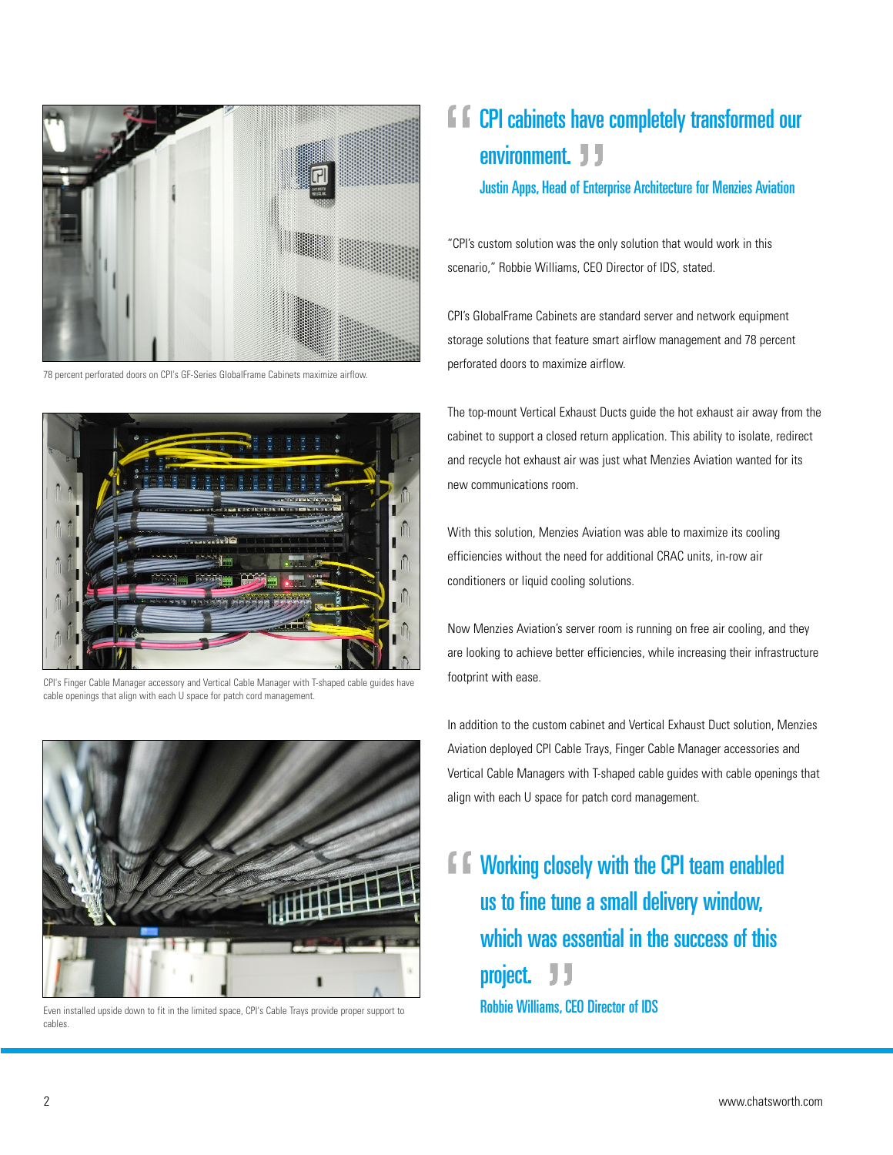

78 percent perforated doors on CPI's GF-Series GlobalFrame Cabinets maximize airflow.



CPI's Finger Cable Manager accessory and Vertical Cable Manager with T-shaped cable guides have cable openings that align with each U space for patch cord management.



Even installed upside down to fit in the limited space, CPI's Cable Trays provide proper support to cables.

# **F**  $\Gamma$  CPI cabinets have completely transformed our environment. J J Justin Apps, Head of Enterprise Architecture for Menzies Aviation

"CPI's custom solution was the only solution that would work in this scenario," Robbie Williams, CEO Director of IDS, stated.

CPI's GlobalFrame Cabinets are standard server and network equipment storage solutions that feature smart airflow management and 78 percent perforated doors to maximize airflow.

The top-mount Vertical Exhaust Ducts guide the hot exhaust air away from the cabinet to support a closed return application. This ability to isolate, redirect and recycle hot exhaust air was just what Menzies Aviation wanted for its new communications room.

With this solution, Menzies Aviation was able to maximize its cooling efficiencies without the need for additional CRAC units, in-row air conditioners or liquid cooling solutions.

Now Menzies Aviation's server room is running on free air cooling, and they are looking to achieve better efficiencies, while increasing their infrastructure footprint with ease.

In addition to the custom cabinet and Vertical Exhaust Duct solution, Menzies Aviation deployed CPI Cable Trays, Finger Cable Manager accessories and Vertical Cable Managers with T-shaped cable guides with cable openings that align with each U space for patch cord management.

**f f** Working closely with the CPI team enabled us to fine tune a small delivery window, which was essential in the success of this project. JJ Robbie Williams, CEO Director of IDS